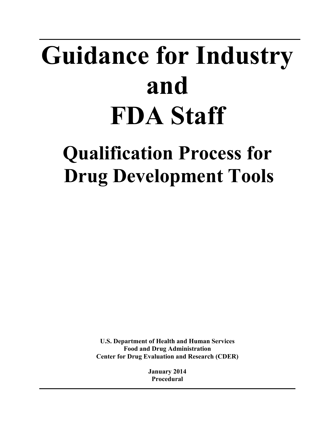# **Guidance for Industry and FDA Staff**

# **Qualification Process for Drug Development Tools**

**U.S. Department of Health and Human Services Food and Drug Administration Center for Drug Evaluation and Research (CDER)** 

> **January 2014 Procedural**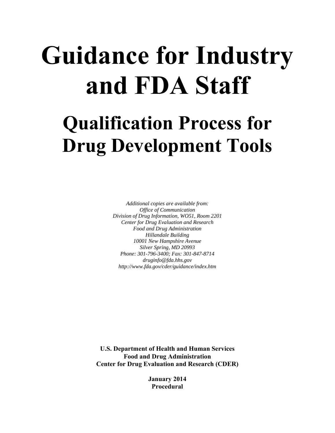# **Guidance for Industry and FDA Staff**

# **Qualification Process for Drug Development Tools**

 *Division of Drug Information, WO51, Room 2201 Hillandale Building Additional copies are available from: Office of Communication Center for Drug Evaluation and Research Food and Drug Administration 10001 New Hampshire Avenue Silver Spring, MD 20993 Phone: 301-796-3400; Fax: 301-847-8714 druginfo@fda.hhs.gov http://www.fda.gov/cder/guidance/index.htm* 

**U.S. Department of Health and Human Services Food and Drug Administration Center for Drug Evaluation and Research (CDER)** 

> **January 2014 Procedural**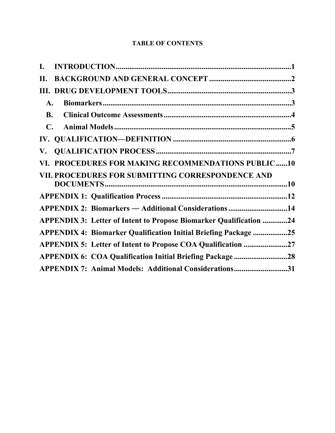# **TABLE OF CONTENTS**

| I.             |                                                                           |  |
|----------------|---------------------------------------------------------------------------|--|
| Н.             |                                                                           |  |
|                |                                                                           |  |
| A.             |                                                                           |  |
| <b>B.</b>      |                                                                           |  |
| $\mathbf{C}$ . |                                                                           |  |
|                |                                                                           |  |
| ${\bf V}$ .    |                                                                           |  |
|                | VI. PROCEDURES FOR MAKING RECOMMENDATIONS PUBLIC10                        |  |
|                | VII. PROCEDURES FOR SUBMITTING CORRESPONDENCE AND                         |  |
|                |                                                                           |  |
|                |                                                                           |  |
|                | <b>APPENDIX 2: Biomarkers — Additional Considerations 14</b>              |  |
|                | <b>APPENDIX 3: Letter of Intent to Propose Biomarker Qualification 24</b> |  |
|                | <b>APPENDIX 4: Biomarker Qualification Initial Briefing Package 25</b>    |  |
|                | APPENDIX 5: Letter of Intent to Propose COA Qualification 27              |  |
|                | <b>APPENDIX 6: COA Qualification Initial Briefing Package 28</b>          |  |
|                | APPENDIX 7: Animal Models: Additional Considerations31                    |  |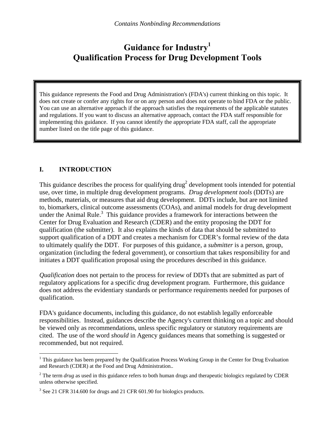# **Guidance for Industry1 Qualification Process for Drug Development Tools**

This guidance represents the Food and Drug Administration's (FDA's) current thinking on this topic. It does not create or confer any rights for or on any person and does not operate to bind FDA or the public. You can use an alternative approach if the approach satisfies the requirements of the applicable statutes and regulations. If you want to discuss an alternative approach, contact the FDA staff responsible for implementing this guidance. If you cannot identify the appropriate FDA staff, call the appropriate number listed on the title page of this guidance.

# **I. INTRODUCTION**

 $\overline{a}$ 

This guidance describes the process for qualifying drug<sup>2</sup> development tools intended for potential use, over time, in multiple drug development programs. *Drug development tools* (DDTs) are methods, materials, or measures that aid drug development. DDTs include, but are not limited to, biomarkers, clinical outcome assessments (COAs), and animal models for drug development under the Animal Rule. $3$  This guidance provides a framework for interactions between the Center for Drug Evaluation and Research (CDER) and the entity proposing the DDT for qualification (the submitter). It also explains the kinds of data that should be submitted to support qualification of a DDT and creates a mechanism for CDER's formal review of the data to ultimately qualify the DDT. For purposes of this guidance, a *submitter* is a person, group, organization (including the federal government), or consortium that takes responsibility for and initiates a DDT qualification proposal using the procedures described in this guidance.

*Qualification* does not pertain to the process for review of DDTs that are submitted as part of regulatory applications for a specific drug development program. Furthermore, this guidance does not address the evidentiary standards or performance requirements needed for purposes of qualification.

FDA's guidance documents, including this guidance, do not establish legally enforceable responsibilities. Instead, guidances describe the Agency's current thinking on a topic and should be viewed only as recommendations, unless specific regulatory or statutory requirements are cited. The use of the word *should* in Agency guidances means that something is suggested or recommended, but not required.

<sup>&</sup>lt;sup>1</sup> This guidance has been prepared by the Qualification Process Working Group in the Center for Drug Evaluation and Research (CDER) at the Food and Drug Administration..

<sup>&</sup>lt;sup>2</sup> The term *drug* as used in this guidance refers to both human drugs and therapeutic biologics regulated by CDER unless otherwise specified.

 $3$  See 21 CFR 314.600 for drugs and 21 CFR 601.90 for biologics products.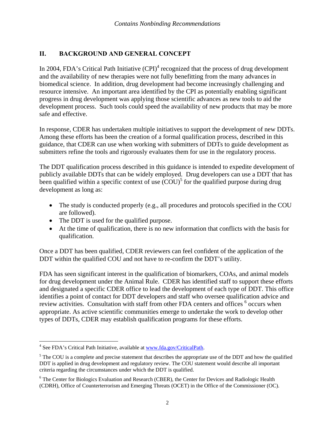#### <span id="page-4-0"></span>**II. BACKGROUND AND GENERAL CONCEPT**

In 2004, FDA's Critical Path Initiative  $(CPI)^4$  recognized that the process of drug development and the availability of new therapies were not fully benefitting from the many advances in biomedical science. In addition, drug development had become increasingly challenging and resource intensive. An important area identified by the CPI as potentially enabling significant progress in drug development was applying those scientific advances as new tools to aid the development process. Such tools could speed the availability of new products that may be more safe and effective.

In response, CDER has undertaken multiple initiatives to support the development of new DDTs. Among these efforts has been the creation of a formal qualification process, described in this guidance, that CDER can use when working with submitters of DDTs to guide development as submitters refine the tools and rigorously evaluates them for use in the regulatory process.

The DDT qualification process described in this guidance is intended to expedite development of publicly available DDTs that can be widely employed. Drug developers can use a DDT that has been qualified within a specific context of use  $(COU)^5$  for the qualified purpose during drug development as long as:

- The study is conducted properly (e.g., all procedures and protocols specified in the COU are followed).
- The DDT is used for the qualified purpose.
- qualification. At the time of qualification, there is no new information that conflicts with the basis for

Once a DDT has been qualified, CDER reviewers can feel confident of the application of the DDT within the qualified COU and not have to re-confirm the DDT's utility.

FDA has seen significant interest in the qualification of biomarkers, COAs, and animal models for drug development under the Animal Rule. CDER has identified staff to support these efforts and designated a specific CDER office to lead the development of each type of DDT. This office identifies a point of contact for DDT developers and staff who oversee qualification advice and review activities. Consultation with staff from other FDA centers and offices <sup>6</sup> occurs when appropriate. As active scientific communities emerge to undertake the work to develop other types of DDTs, CDER may establish qualification programs for these efforts.

 4 See FDA's Critical Path Initiative, available at www.fda.gov/CriticalPath.

 $<sup>5</sup>$  The COU is a complete and precise statement that describes the appropriate use of the DDT and how the qualified</sup> DDT is applied in drug development and regulatory review. The COU statement would describe all important criteria regarding the circumstances under which the DDT is qualified.

<sup>&</sup>lt;sup>6</sup> The Center for Biologics Evaluation and Research (CBER), the Center for Devices and Radiologic Health (CDRH), Office of Counterterrorism and Emerging Threats (OCET) in the Office of the Commissioner (OC).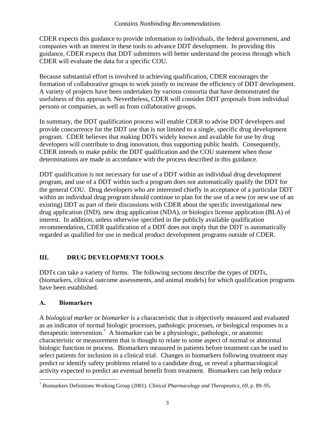<span id="page-5-0"></span>CDER expects this guidance to provide information to individuals, the federal government, and companies with an interest in these tools to advance DDT development. In providing this guidance, CDER expects that DDT submitters will better understand the process through which CDER will evaluate the data for a specific COU.

Because substantial effort is involved in achieving qualification, CDER encourages the formation of collaborative groups to work jointly to increase the efficiency of DDT development. A variety of projects have been undertaken by various consortia that have demonstrated the usefulness of this approach. Nevertheless, CDER will consider DDT proposals from individual persons or companies, as well as from collaborative groups.

In summary, the DDT qualification process will enable CDER to advise DDT developers and provide concurrence for the DDT use that is not limited to a single, specific drug development program. CDER believes that making DDTs widely known and available for use by drug developers will contribute to drug innovation, thus supporting public health. Consequently, CDER intends to make public the DDT qualification and the COU statement when those determinations are made in accordance with the process described in this guidance.

DDT qualification is not necessary for use of a DDT within an individual drug development program, and use of a DDT within such a program does not automatically qualify the DDT for the general COU. Drug developers who are interested chiefly in acceptance of a particular DDT within an individual drug program should continue to plan for the use of a new (or new use of an existing) DDT as part of their discussions with CDER about the specific investigational new drug application (IND), new drug application (NDA), or biologics license application (BLA) of interest. In addition, unless otherwise specified in the publicly available qualification recommendation, CDER qualification of a DDT does not imply that the DDT is automatically regarded as qualified for use in medical product development programs outside of CDER.

# **III. DRUG DEVELOPMENT TOOLS**

DDTs can take a variety of forms. The following sections describe the types of DDTs, (biomarkers, clinical outcome assessments, and animal models) for which qualification programs have been established.

# **A. Biomarkers**

A *biological marker* or *biomarker* is a characteristic that is objectively measured and evaluated as an indicator of normal biologic processes, pathologic processes, or biological responses to a therapeutic intervention.<sup>7</sup> A biomarker can be a physiologic, pathologic, or anatomic characteristic or measurement that is thought to relate to some aspect of normal or abnormal biologic function or process. Biomarkers measured in patients before treatment can be used to select patients for inclusion in a clinical trial. Changes in biomarkers following treatment may predict or identify safety problems related to a candidate drug, or reveal a pharmacological activity expected to predict an eventual benefit from treatment. Biomarkers can help reduce

 $\overline{a}$ 7 Biomarkers Definitions Working Group (2001). *Clinical Pharmacology and Therapeutics, 69,* p. 89–95.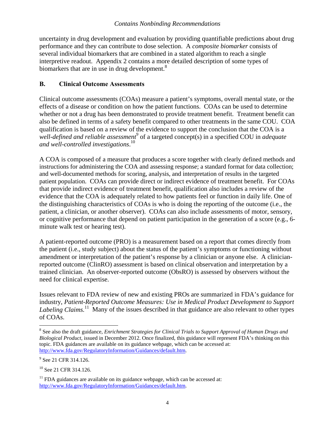<span id="page-6-0"></span>biomarkers that are in use in drug development.<sup>8</sup> uncertainty in drug development and evaluation by providing quantifiable predictions about drug performance and they can contribute to dose selection. A *composite biomarker* consists of several individual biomarkers that are combined in a stated algorithm to reach a single interpretive readout. Appendix 2 contains a more detailed description of some types of

#### **B. Clinical Outcome Assessments**

 *and well-controlled investigations*. 10 Clinical outcome assessments (COAs) measure a patient's symptoms, overall mental state, or the effects of a disease or condition on how the patient functions. COAs can be used to determine whether or not a drug has been demonstrated to provide treatment benefit. Treatment benefit can also be defined in terms of a safety benefit compared to other treatments in the same COU. COA qualification is based on a review of the evidence to support the conclusion that the COA is a well-defined and reliable assessment<sup>9</sup> of a targeted concept(s) in a specified COU in *adequate* 

A COA is composed of a measure that produces a score together with clearly defined methods and instructions for administering the COA and assessing response; a standard format for data collection; and well-documented methods for scoring, analysis, and interpretation of results in the targeted patient population. COAs can provide direct or indirect evidence of treatment benefit. For COAs that provide indirect evidence of treatment benefit, qualification also includes a review of the evidence that the COA is adequately related to how patients feel or function in daily life. One of the distinguishing characteristics of COAs is who is doing the reporting of the outcome (i.e., the patient, a clinician, or another observer). COAs can also include assessments of motor, sensory, or cognitive performance that depend on patient participation in the generation of a score (e.g., 6 minute walk test or hearing test).

A patient-reported outcome (PRO) is a measurement based on a report that comes directly from the patient (i.e., study subject) about the status of the patient's symptoms or functioning without amendment or interpretation of the patient's response by a clinician or anyone else. A clinicianreported outcome (ClinRO) assessment is based on clinical observation and interpretation by a trained clinician. An observer-reported outcome (ObsRO) is assessed by observers without the need for clinical expertise.

Issues relevant to FDA review of new and existing PROs are summarized in FDA's guidance for industry, *Patient-Reported Outcome Measures: Use in Medical Product Development to Support Labeling Claims.*<sup>11</sup> Many of the issues described in that guidance are also relevant to other types of COAs.

 $\overline{a}$ 

<sup>8</sup> See also the draft guidance, *Enrichment Strategies for Clinical Trials to Support Approval of Human Drugs and Biological Product*, issued in December 2012. Once finalized, this guidance will represent FDA's thinking on this topic. FDA guidances are available on its guidance webpage, which can be accessed at: http://www.fda.gov/RegulatoryInformation/Guidances/default.htm.

<sup>&</sup>lt;sup>9</sup> See 21 CFR 314.126.

<sup>&</sup>lt;sup>10</sup> See 21 CFR 314.126.

 $11$  FDA guidances are available on its guidance webpage, which can be accessed at: http://www.fda.gov/RegulatoryInformation/Guidances/default.htm.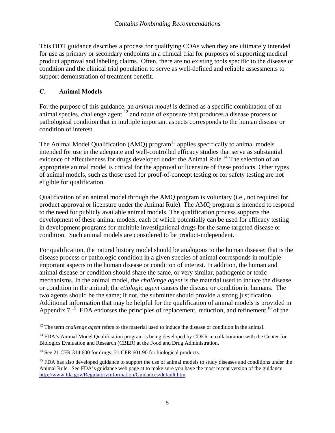<span id="page-7-0"></span>This DDT guidance describes a process for qualifying COAs when they are ultimately intended for use as primary or secondary endpoints in a clinical trial for purposes of supporting medical product approval and labeling claims. Often, there are no existing tools specific to the disease or condition and the clinical trial population to serve as well-defined and reliable assessments to support demonstration of treatment benefit.

#### **C. Animal Models**

For the purpose of this guidance, an *animal model* is defined as a specific combination of an animal species, challenge agent,<sup>12</sup> and route of exposure that produces a disease process or pathological condition that in multiple important aspects corresponds to the human disease or condition of interest.

eligible for qualification. The Animal Model Qualification (AMQ) program $<sup>13</sup>$  applies specifically to animal models</sup> intended for use in the adequate and well-controlled efficacy studies that serve as substantial evidence of effectiveness for drugs developed under the Animal Rule.<sup>14</sup> The selection of an appropriate animal model is critical for the approval or licensure of these products. Other types of animal models, such as those used for proof-of-concept testing or for safety testing are not

Qualification of an animal model through the AMQ program is voluntary (i.e., not required for product approval or licensure under the Animal Rule). The AMQ program is intended to respond to the need for publicly available animal models. The qualification process supports the development of these animal models, each of which potentially can be used for efficacy testing in development programs for multiple investigational drugs for the same targeted disease or condition. Such animal models are considered to be product-independent.

For qualification, the natural history model should be analogous to the human disease; that is the disease process or pathologic condition in a given species of animal corresponds in multiple important aspects to the human disease or condition of interest. In addition, the human and animal disease or condition should share the same, or very similar, pathogenic or toxic mechanisms. In the animal model, the *challenge agent* is the material used to induce the disease or condition in the animal; the *etiologic agent* causes the disease or condition in humans. The two agents should be the same; if not, the submitter should provide a strong justification. Additional information that may be helpful for the qualification of animal models is provided in Appendix  $7<sup>15</sup>$  FDA endorses the principles of replacement, reduction, and refinement <sup>16</sup> of the

<sup>&</sup>lt;u>.</u> <sup>12</sup> The term *challenge agent* refers to the material used to induce the disease or condition in the animal.

Biologics Evaluation and Research (CBER) at the Food and Drug Administration. Biologics Evaluation and Research (CBER) at the Food and Drug Administration.<br><sup>14</sup> See 21 CFR 314.600 for drugs; 21 CFR 601.90 for biological products. <sup>13</sup> FDA's Animal Model Qualification program is being developed by CDER in collaboration with the Center for

<sup>&</sup>lt;sup>15</sup> FDA has also developed guidance to support the use of animal models to study diseases and conditions under the Animal Rule. See FDA's guidance web page at to make sure you have the most recent version of the guidance: http://www.fda.gov/RegulatoryInformation/Guidances/default.htm.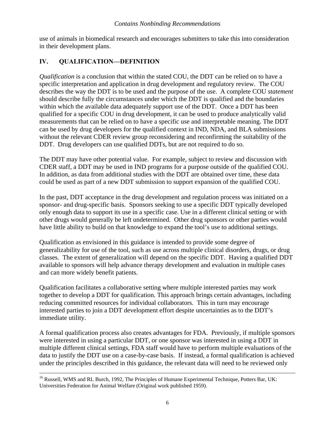<span id="page-8-0"></span>use of animals in biomedical research and encourages submitters to take this into consideration in their development plans.

#### **IV. QUALIFICATION—DEFINITION**

*Qualification* is a conclusion that within the stated COU, the DDT can be relied on to have a specific interpretation and application in drug development and regulatory review. The COU describes the way the DDT is to be used and the purpose of the use. A complete COU *statement*  should describe fully the circumstances under which the DDT is qualified and the boundaries within which the available data adequately support use of the DDT. Once a DDT has been qualified for a specific COU in drug development, it can be used to produce analytically valid measurements that can be relied on to have a specific use and interpretable meaning. The DDT can be used by drug developers for the qualified context in IND, NDA, and BLA submissions without the relevant CDER review group reconsidering and reconfirming the suitability of the DDT. Drug developers can use qualified DDTs, but are not required to do so.

The DDT may have other potential value. For example, subject to review and discussion with CDER staff, a DDT may be used in IND programs for a purpose outside of the qualified COU. In addition, as data from additional studies with the DDT are obtained over time, these data could be used as part of a new DDT submission to support expansion of the qualified COU.

In the past, DDT acceptance in the drug development and regulation process was initiated on a sponsor- and drug-specific basis. Sponsors seeking to use a specific DDT typically developed only enough data to support its use in a specific case. Use in a different clinical setting or with other drugs would generally be left undetermined. Other drug sponsors or other parties would have little ability to build on that knowledge to expand the tool's use to additional settings.

Qualification as envisioned in this guidance is intended to provide some degree of generalizability for use of the tool, such as use across multiple clinical disorders, drugs, or drug classes. The extent of generalization will depend on the specific DDT. Having a qualified DDT available to sponsors will help advance therapy development and evaluation in multiple cases and can more widely benefit patients.

Qualification facilitates a collaborative setting where multiple interested parties may work together to develop a DDT for qualification. This approach brings certain advantages, including reducing committed resources for individual collaborators. This in turn may encourage interested parties to join a DDT development effort despite uncertainties as to the DDT's immediate utility.

A formal qualification process also creates advantages for FDA. Previously, if multiple sponsors were interested in using a particular DDT, or one sponsor was interested in using a DDT in multiple different clinical settings, FDA staff would have to perform multiple evaluations of the data to justify the DDT use on a case-by-case basis. If instead, a formal qualification is achieved under the principles described in this guidance, the relevant data will need to be reviewed only

 $\overline{a}$ <sup>16</sup> Russell, WMS and RL Burch, 1992, The Principles of Humane Experimental Technique, Potters Bar, UK: Universities Federation for Animal Welfare (Original work published 1959).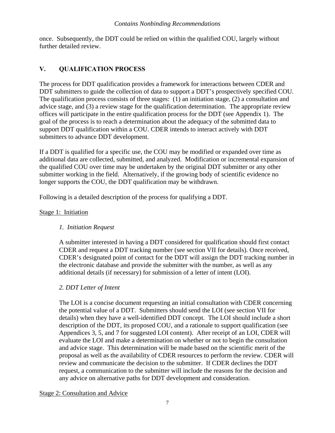<span id="page-9-0"></span>once. Subsequently, the DDT could be relied on within the qualified COU, largely without further detailed review.

# **V. QUALIFICATION PROCESS**

The process for DDT qualification provides a framework for interactions between CDER and DDT submitters to guide the collection of data to support a DDT's prospectively specified COU. The qualification process consists of three stages: (1) an initiation stage, (2) a consultation and advice stage, and (3) a review stage for the qualification determination. The appropriate review offices will participate in the entire qualification process for the DDT (see Appendix 1). The goal of the process is to reach a determination about the adequacy of the submitted data to support DDT qualification within a COU. CDER intends to interact actively with DDT submitters to advance DDT development.

If a DDT is qualified for a specific use, the COU may be modified or expanded over time as additional data are collected, submitted, and analyzed. Modification or incremental expansion of the qualified COU over time may be undertaken by the original DDT submitter or any other submitter working in the field. Alternatively, if the growing body of scientific evidence no longer supports the COU, the DDT qualification may be withdrawn.

Following is a detailed description of the process for qualifying a DDT.

#### Stage 1: Initiation

# *1. Initiation Request*

A submitter interested in having a DDT considered for qualification should first contact CDER and request a DDT tracking number (see section VII for details). Once received, CDER's designated point of contact for the DDT will assign the DDT tracking number in the electronic database and provide the submitter with the number, as well as any additional details (if necessary) for submission of a letter of intent (LOI).

#### *2. DDT Letter of Intent*

The LOI is a concise document requesting an initial consultation with CDER concerning the potential value of a DDT. Submitters should send the LOI (see section VII for details) when they have a well-identified DDT concept. The LOI should include a short description of the DDT, its proposed COU, and a rationale to support qualification (see Appendices 3, 5, and 7 for suggested LOI content). After receipt of an LOI, CDER will evaluate the LOI and make a determination on whether or not to begin the consultation and advice stage. This determination will be made based on the scientific merit of the proposal as well as the availability of CDER resources to perform the review. CDER will review and communicate the decision to the submitter. If CDER declines the DDT request, a communication to the submitter will include the reasons for the decision and any advice on alternative paths for DDT development and consideration.

Stage 2: Consultation and Advice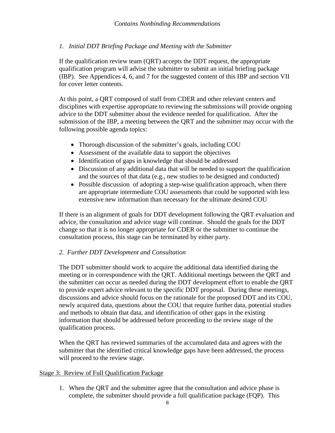#### *1. Initial DDT Briefing Package and Meeting with the Submitter*

for cover letter contents. If the qualification review team (QRT) accepts the DDT request, the appropriate qualification program will advise the submitter to submit an initial briefing package (IBP). See Appendices 4, 6, and 7 for the suggested content of this IBP and section VII

At this point, a QRT composed of staff from CDER and other relevant centers and disciplines with expertise appropriate to reviewing the submissions will provide ongoing advice to the DDT submitter about the evidence needed for qualification. After the submission of the IBP, a meeting between the QRT and the submitter may occur with the following possible agenda topics:

- Thorough discussion of the submitter's goals, including COU
- Assessment of the available data to support the objectives
- Identification of gaps in knowledge that should be addressed
- Discussion of any additional data that will be needed to support the qualification and the sources of that data (e.g., new studies to be designed and conducted)
- Possible discussion of adopting a step-wise qualification approach, when there are appropriate intermediate COU assessments that could be supported with less extensive new information than necessary for the ultimate desired COU

If there is an alignment of goals for DDT development following the QRT evaluation and advice, the consultation and advice stage will continue. Should the goals for the DDT change so that it is no longer appropriate for CDER or the submitter to continue the consultation process, this stage can be terminated by either party.

#### *2. Further DDT Development and Consultation*

The DDT submitter should work to acquire the additional data identified during the meeting or in correspondence with the QRT. Additional meetings between the QRT and the submitter can occur as needed during the DDT development effort to enable the QRT to provide expert advice relevant to the specific DDT proposal. During these meetings, discussions and advice should focus on the rationale for the proposed DDT and its COU, newly acquired data, questions about the COU that require further data, potential studies and methods to obtain that data, and identification of other gaps in the existing information that should be addressed before proceeding to the review stage of the qualification process.

When the QRT has reviewed summaries of the accumulated data and agrees with the submitter that the identified critical knowledge gaps have been addressed, the process will proceed to the review stage.

#### Stage 3: Review of Full Qualification Package

1. When the QRT and the submitter agree that the consultation and advice phase is complete, the submitter should provide a full qualification package (FQP). This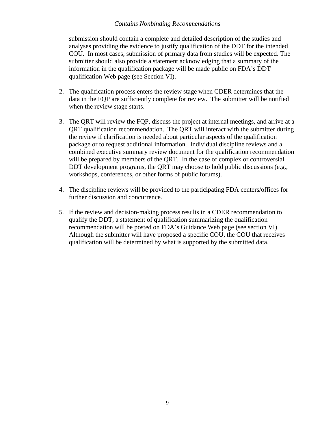submission should contain a complete and detailed description of the studies and analyses providing the evidence to justify qualification of the DDT for the intended COU. In most cases, submission of primary data from studies will be expected. The submitter should also provide a statement acknowledging that a summary of the information in the qualification package will be made public on FDA's DDT qualification Web page (see Section VI).

- 2. The qualification process enters the review stage when CDER determines that the data in the FQP are sufficiently complete for review. The submitter will be notified when the review stage starts.
- 3. The QRT will review the FQP, discuss the project at internal meetings, and arrive at a QRT qualification recommendation. The QRT will interact with the submitter during the review if clarification is needed about particular aspects of the qualification package or to request additional information. Individual discipline reviews and a combined executive summary review document for the qualification recommendation will be prepared by members of the QRT. In the case of complex or controversial DDT development programs, the QRT may choose to hold public discussions (e.g., workshops, conferences, or other forms of public forums).
- 4. The discipline reviews will be provided to the participating FDA centers/offices for further discussion and concurrence.
- 5. If the review and decision-making process results in a CDER recommendation to qualify the DDT, a statement of qualification summarizing the qualification recommendation will be posted on FDA's Guidance Web page (see section VI). Although the submitter will have proposed a specific COU, the COU that receives qualification will be determined by what is supported by the submitted data.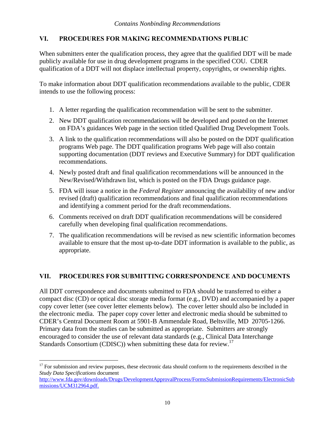#### <span id="page-12-0"></span>**VI. PROCEDURES FOR MAKING RECOMMENDATIONS PUBLIC**

When submitters enter the qualification process, they agree that the qualified DDT will be made publicly available for use in drug development programs in the specified COU. CDER qualification of a DDT will not displace intellectual property, copyrights, or ownership rights.

To make information about DDT qualification recommendations available to the public, CDER intends to use the following process:

- 1. A letter regarding the qualification recommendation will be sent to the submitter.
- 2. New DDT qualification recommendations will be developed and posted on the Internet on FDA's guidances Web page in the section titled Qualified Drug Development Tools.
- 3. A link to the qualification recommendations will also be posted on the DDT qualification programs Web page. The DDT qualification programs Web page will also contain supporting documentation (DDT reviews and Executive Summary) for DDT qualification recommendations.
- 4. Newly posted draft and final qualification recommendations will be announced in the New/Revised/Withdrawn list, which is posted on the FDA Drugs guidance page.
- 5. FDA will issue a notice in the *Federal Register* announcing the availability of new and/or revised (draft) qualification recommendations and final qualification recommendations and identifying a comment period for the draft recommendations.
- 6. Comments received on draft DDT qualification recommendations will be considered carefully when developing final qualification recommendations.
- 7. The qualification recommendations will be revised as new scientific information becomes available to ensure that the most up-to-date DDT information is available to the public, as appropriate.

#### **VII. PROCEDURES FOR SUBMITTING CORRESPONDENCE AND DOCUMENTS**

Standards Consortium (CDISC)) when submitting these data for review.<sup>17</sup> All DDT correspondence and documents submitted to FDA should be transferred to either a compact disc (CD) or optical disc storage media format (e.g., DVD) and accompanied by a paper copy cover letter (see cover letter elements below). The cover letter should also be included in the electronic media. The paper copy cover letter and electronic media should be submitted to CDER's Central Document Room at 5901-B Ammendale Road, Beltsville, MD 20705-1266. Primary data from the studies can be submitted as appropriate. Submitters are strongly encouraged to consider the use of relevant data standards (e.g., Clinical Data Interchange

 $\overline{a}$ 

 $17$  For submission and review purposes, these electronic data should conform to the requirements described in the *Study Data Specifications* document

missions/UCM312964.pdf. http://www.fda.gov/downloads/Drugs/DevelopmentApprovalProcess/FormsSubmissionRequirements/ElectronicSub missions/UCM312964.pdf. 10<br>10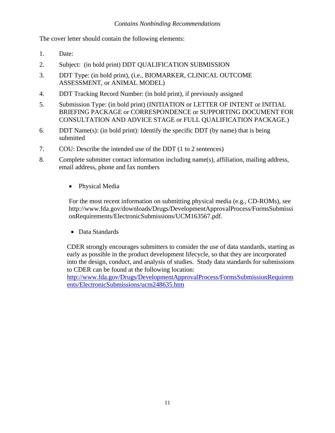The cover letter should contain the following elements:

- 1. Date:
- 2. Subject: (in bold print) DDT QUALIFICATION SUBMISSION
- 3. DDT Type: (in bold print), (i.e., BIOMARKER, CLINICAL OUTCOME ASSESSMENT, or ANIMAL MODEL)
- 4. DDT Tracking Record Number: (in bold print), if previously assigned
- 5. Submission Type: (in bold print) (INITIATION or LETTER OF INTENT or INITIAL BRIEFING PACKAGE or CORRESPONDENCE or SUPPORTING DOCUMENT FOR CONSULTATION AND ADVICE STAGE or FULL QUALIFICATION PACKAGE.)
- 6. DDT Name(s): (in bold print): Identify the specific DDT (by name) that is being submitted
- 7. COU: Describe the intended use of the DDT (1 to 2 sentences)
- 8. Complete submitter contact information including name(s), affiliation, mailing address, email address, phone and fax numbers
	- Physical Media

For the most recent information on submitting physical media (e.g., CD-ROMs), see http://www.fda.gov/downloads/Drugs/DevelopmentApprovalProcess/FormsSubmissi onRequirements/ElectronicSubmissions/UCM163567.pdf.

Data Standards

CDER strongly encourages submitters to consider the use of data standards, starting as early as possible in the product development lifecycle, so that they are incorporated into the design, conduct, and analysis of studies. Study data standards for submissions to CDER can be found at the following location:

ents/ElectronicSubmissions/ucm248635.htm http://www.fda.gov/Drugs/DevelopmentApprovalProcess/FormsSubmissionRequirem ents/ElectronicSubmissions/ucm248635.htm<br>
11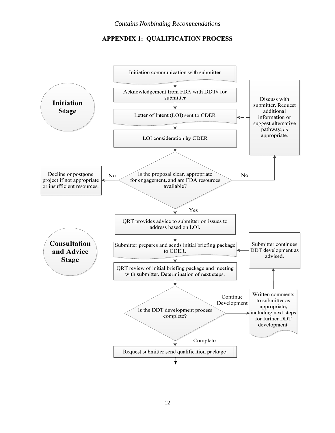#### **APPENDIX 1: QUALIFICATION PROCESS**

<span id="page-14-0"></span>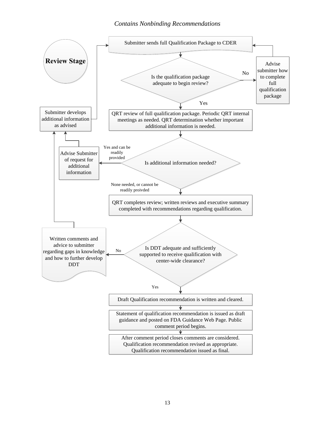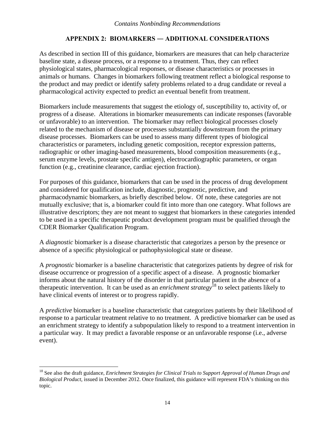#### **APPENDIX 2: BIOMARKERS ― ADDITIONAL CONSIDERATIONS**

<span id="page-16-0"></span>As described in section III of this guidance, biomarkers are measures that can help characterize baseline state, a disease process, or a response to a treatment. Thus, they can reflect physiological states, pharmacological responses, or disease characteristics or processes in animals or humans. Changes in biomarkers following treatment reflect a biological response to the product and may predict or identify safety problems related to a drug candidate or reveal a pharmacological activity expected to predict an eventual benefit from treatment.

Biomarkers include measurements that suggest the etiology of, susceptibility to, activity of, or progress of a disease. Alterations in biomarker measurements can indicate responses (favorable or unfavorable) to an intervention. The biomarker may reflect biological processes closely related to the mechanism of disease or processes substantially downstream from the primary disease processes. Biomarkers can be used to assess many different types of biological characteristics or parameters, including genetic composition, receptor expression patterns, radiographic or other imaging-based measurements, blood composition measurements (e.g., serum enzyme levels, prostate specific antigen), electrocardiographic parameters, or organ function (e.g., creatinine clearance, cardiac ejection fraction).

For purposes of this guidance, biomarkers that can be used in the process of drug development and considered for qualification include, diagnostic, prognostic, predictive, and pharmacodynamic biomarkers, as briefly described below. Of note, these categories are not mutually exclusive; that is, a biomarker could fit into more than one category. What follows are illustrative descriptors; they are not meant to suggest that biomarkers in these categories intended to be used in a specific therapeutic product development program must be qualified through the CDER Biomarker Qualification Program.

A *diagnostic* biomarker is a disease characteristic that categorizes a person by the presence or absence of a specific physiological or pathophysiological state or disease.

A *prognostic* biomarker is a baseline characteristic that categorizes patients by degree of risk for disease occurrence or progression of a specific aspect of a disease. A prognostic biomarker informs about the natural history of the disorder in that particular patient in the absence of a therapeutic intervention. It can be used as an *enrichment strategy*18 to select patients likely to have clinical events of interest or to progress rapidly.

A *predictive* biomarker is a baseline characteristic that categorizes patients by their likelihood of response to a particular treatment relative to no treatment. A predictive biomarker can be used as an enrichment strategy to identify a subpopulation likely to respond to a treatment intervention in a particular way. It may predict a favorable response or an unfavorable response (i.e., adverse event).

 $\overline{a}$ 

<sup>18</sup> See also the draft guidance, *Enrichment Strategies for Clinical Trials to Support Approval of Human Drugs and Biological Product*, issued in December 2012. Once finalized, this guidance will represent FDA's thinking on this topic.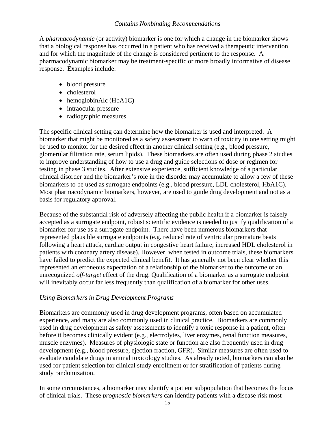A *pharmacodynamic* (or activity) biomarker is one for which a change in the biomarker shows that a biological response has occurred in a patient who has received a therapeutic intervention and for which the magnitude of the change is considered pertinent to the response. A pharmacodynamic biomarker may be treatment-specific or more broadly informative of disease response. Examples include:

- blood pressure
- cholesterol
- hemoglobinAlc (HbA1C)
- intraocular pressure
- radiographic measures

The specific clinical setting can determine how the biomarker is used and interpreted. A biomarker that might be monitored as a safety assessment to warn of toxicity in one setting might be used to monitor for the desired effect in another clinical setting (e.g., blood pressure, glomerular filtration rate, serum lipids). These biomarkers are often used during phase 2 studies to improve understanding of how to use a drug and guide selections of dose or regimen for testing in phase 3 studies. After extensive experience, sufficient knowledge of a particular clinical disorder and the biomarker's role in the disorder may accumulate to allow a few of these biomarkers to be used as surrogate endpoints (e.g., blood pressure, LDL cholesterol, HbA1C). Most pharmacodynamic biomarkers, however, are used to guide drug development and not as a basis for regulatory approval.

Because of the substantial risk of adversely affecting the public health if a biomarker is falsely accepted as a surrogate endpoint, robust scientific evidence is needed to justify qualification of a biomarker for use as a surrogate endpoint. There have been numerous biomarkers that represented plausible surrogate endpoints (e.g. reduced rate of ventricular premature beats following a heart attack, cardiac output in congestive heart failure, increased HDL cholesterol in patients with coronary artery disease). However, when tested in outcome trials, these biomarkers have failed to predict the expected clinical benefit. It has generally not been clear whether this represented an erroneous expectation of a relationship of the biomarker to the outcome or an unrecognized *off-target* effect of the drug. Qualification of a biomarker as a surrogate endpoint will inevitably occur far less frequently than qualification of a biomarker for other uses.

#### *Using Biomarkers in Drug Development Programs*

Biomarkers are commonly used in drug development programs, often based on accumulated experience, and many are also commonly used in clinical practice. Biomarkers are commonly used in drug development as safety assessments to identify a toxic response in a patient, often before it becomes clinically evident (e.g., electrolytes, liver enzymes, renal function measures, muscle enzymes). Measures of physiologic state or function are also frequently used in drug development (e.g., blood pressure, ejection fraction, GFR). Similar measures are often used to evaluate candidate drugs in animal toxicology studies. As already noted, biomarkers can also be used for patient selection for clinical study enrollment or for stratification of patients during study randomization.

In some circumstances, a biomarker may identify a patient subpopulation that becomes the focus of clinical trials. These *prognostic biomarkers* can identify patients with a disease risk most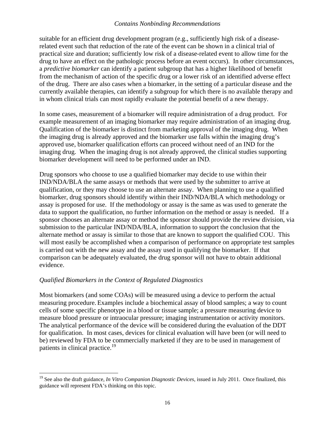suitable for an efficient drug development program (e.g., sufficiently high risk of a diseaserelated event such that reduction of the rate of the event can be shown in a clinical trial of practical size and duration; sufficiently low risk of a disease-related event to allow time for the drug to have an effect on the pathologic process before an event occurs). In other circumstances, a *predictive biomarker* can identify a patient subgroup that has a higher likelihood of benefit from the mechanism of action of the specific drug or a lower risk of an identified adverse effect of the drug. There are also cases when a biomarker, in the setting of a particular disease and the currently available therapies, can identify a subgroup for which there is no available therapy and in whom clinical trials can most rapidly evaluate the potential benefit of a new therapy.

In some cases, measurement of a biomarker will require administration of a drug product. For example measurement of an imaging biomarker may require administration of an imaging drug. Qualification of the biomarker is distinct from marketing approval of the imaging drug. When the imaging drug is already approved and the biomarker use falls within the imaging drug's approved use, biomarker qualification efforts can proceed without need of an IND for the imaging drug. When the imaging drug is not already approved, the clinical studies supporting biomarker development will need to be performed under an IND.

Drug sponsors who choose to use a qualified biomarker may decide to use within their IND/NDA/BLA the same assays or methods that were used by the submitter to arrive at qualification, or they may choose to use an alternate assay. When planning to use a qualified biomarker, drug sponsors should identify within their IND/NDA/BLA which methodology or assay is proposed for use. If the methodology or assay is the same as was used to generate the data to support the qualification, no further information on the method or assay is needed. If a sponsor chooses an alternate assay or method the sponsor should provide the review division, via submission to the particular IND/NDA/BLA, information to support the conclusion that the alternate method or assay is similar to those that are known to support the qualified COU. This will most easily be accomplished when a comparison of performance on appropriate test samples is carried out with the new assay and the assay used in qualifying the biomarker. If that comparison can be adequately evaluated, the drug sponsor will not have to obtain additional evidence.

#### *Qualified Biomarkers in the Context of Regulated Diagnostics*

1

patients in clinical practice.<sup>19</sup> Most biomarkers (and some COAs) will be measured using a device to perform the actual measuring procedure. Examples include a biochemical assay of blood samples; a way to count cells of some specific phenotype in a blood or tissue sample; a pressure measuring device to measure blood pressure or intraocular pressure; imaging instrumentation or activity monitors. The analytical performance of the device will be considered during the evaluation of the DDT for qualification. In most cases, devices for clinical evaluation will have been (or will need to be) reviewed by FDA to be commercially marketed if they are to be used in management of

<sup>&</sup>lt;sup>19</sup> See also the draft guidance, *In Vitro Companion Diagnostic Devices*, issued in July 2011. Once finalized, this guidance will represent FDA's thinking on this topic.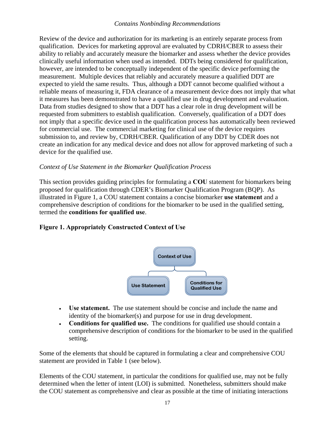Review of the device and authorization for its marketing is an entirely separate process from qualification. Devices for marketing approval are evaluated by CDRH/CBER to assess their ability to reliably and accurately measure the biomarker and assess whether the device provides clinically useful information when used as intended. DDTs being considered for qualification, however, are intended to be conceptually independent of the specific device performing the measurement. Multiple devices that reliably and accurately measure a qualified DDT are expected to yield the same results. Thus, although a DDT cannot become qualified without a reliable means of measuring it, FDA clearance of a measurement device does not imply that what it measures has been demonstrated to have a qualified use in drug development and evaluation. Data from studies designed to show that a DDT has a clear role in drug development will be requested from submitters to establish qualification. Conversely, qualification of a DDT does not imply that a specific device used in the qualification process has automatically been reviewed for commercial use. The commercial marketing for clinical use of the device requires submission to, and review by, CDRH/CBER. Qualification of any DDT by CDER does not create an indication for any medical device and does not allow for approved marketing of such a device for the qualified use.

#### *Context of Use Statement in the Biomarker Qualification Process*

This section provides guiding principles for formulating a **COU** statement for biomarkers being proposed for qualification through CDER's Biomarker Qualification Program (BQP). As illustrated in Figure 1, a COU statement contains a concise biomarker **use statement** and a comprehensive description of conditions for the biomarker to be used in the qualified setting, termed the **conditions for qualified use**.

#### **Figure 1. Appropriately Constructed Context of Use**



- **Use statement.** The use statement should be concise and include the name and identity of the biomarker(s) and purpose for use in drug development.
- **Conditions for qualified use.** The conditions for qualified use should contain a comprehensive description of conditions for the biomarker to be used in the qualified setting.

Some of the elements that should be captured in formulating a clear and comprehensive COU statement are provided in Table 1 (see below).

Elements of the COU statement, in particular the conditions for qualified use, may not be fully determined when the letter of intent (LOI) is submitted. Nonetheless, submitters should make the COU statement as comprehensive and clear as possible at the time of initiating interactions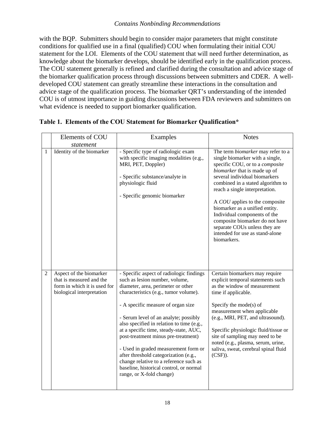with the BQP. Submitters should begin to consider major parameters that might constitute conditions for qualified use in a final (qualified) COU when formulating their initial COU statement for the LOI. Elements of the COU statement that will need further determination, as knowledge about the biomarker develops, should be identified early in the qualification process. The COU statement generally is refined and clarified during the consultation and advice stage of the biomarker qualification process through discussions between submitters and CDER. A welldeveloped COU statement can greatly streamline these interactions in the consultation and advice stage of the qualification process. The biomarker QRT's understanding of the intended COU is of utmost importance in guiding discussions between FDA reviewers and submitters on what evidence is needed to support biomarker qualification.

|                | Elements of COU                                                                                                  | Examples                                                                                                                                                                                                                                                                                                                                                                                                                                                                                                                                                                 | <b>Notes</b>                                                                                                                                                                                                                                                                                                                                                                                                                                                              |
|----------------|------------------------------------------------------------------------------------------------------------------|--------------------------------------------------------------------------------------------------------------------------------------------------------------------------------------------------------------------------------------------------------------------------------------------------------------------------------------------------------------------------------------------------------------------------------------------------------------------------------------------------------------------------------------------------------------------------|---------------------------------------------------------------------------------------------------------------------------------------------------------------------------------------------------------------------------------------------------------------------------------------------------------------------------------------------------------------------------------------------------------------------------------------------------------------------------|
|                | statement                                                                                                        |                                                                                                                                                                                                                                                                                                                                                                                                                                                                                                                                                                          |                                                                                                                                                                                                                                                                                                                                                                                                                                                                           |
| 1              | Identity of the biomarker                                                                                        | - Specific type of radiologic exam<br>with specific imaging modalities (e.g.,<br>MRI, PET, Doppler)<br>- Specific substance/analyte in<br>physiologic fluid<br>- Specific genomic biomarker                                                                                                                                                                                                                                                                                                                                                                              | The term biomarker may refer to a<br>single biomarker with a single,<br>specific COU, or to a composite<br>biomarker that is made up of<br>several individual biomarkers<br>combined in a stated algorithm to<br>reach a single interpretation.<br>A COU applies to the composite<br>biomarker as a unified entity.<br>Individual components of the<br>composite biomarker do not have<br>separate COUs unless they are<br>intended for use as stand-alone<br>biomarkers. |
| $\overline{2}$ | Aspect of the biomarker<br>that is measured and the<br>form in which it is used for<br>biological interpretation | - Specific aspect of radiologic findings<br>such as lesion number, volume,<br>diameter, area, perimeter or other<br>characteristics (e.g., tumor volume).<br>- A specific measure of organ size<br>- Serum level of an analyte; possibly<br>also specified in relation to time (e.g.,<br>at a specific time, steady-state, AUC,<br>post-treatment minus pre-treatment)<br>- Used in graded measurement form or<br>after threshold categorization (e.g.,<br>change relative to a reference such as<br>baseline, historical control, or normal<br>range, or X-fold change) | Certain biomarkers may require<br>explicit temporal statements such<br>as the window of measurement<br>time if applicable.<br>Specify the mode(s) of<br>measurement when applicable<br>(e.g., MRI, PET, and ultrasound).<br>Specific physiologic fluid/tissue or<br>site of sampling may need to be<br>noted (e.g., plasma, serum, urine,<br>saliva, sweat, cerebral spinal fluid<br>$(CSF)$ ).                                                                           |

#### **Table 1. Elements of the COU Statement for Biomarker Qualification\***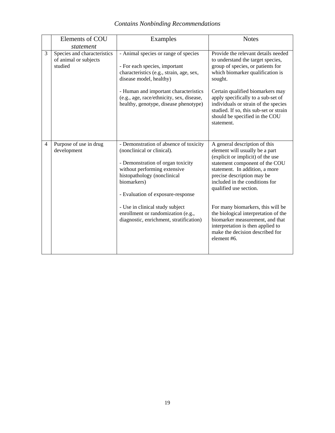|                | Elements of COU                                                 | Examples                                                                                                                                                                                                                                                                    | <b>Notes</b>                                                                                                                                                                                                                                                                                                             |
|----------------|-----------------------------------------------------------------|-----------------------------------------------------------------------------------------------------------------------------------------------------------------------------------------------------------------------------------------------------------------------------|--------------------------------------------------------------------------------------------------------------------------------------------------------------------------------------------------------------------------------------------------------------------------------------------------------------------------|
|                | statement                                                       |                                                                                                                                                                                                                                                                             |                                                                                                                                                                                                                                                                                                                          |
| 3              | Species and characteristics<br>of animal or subjects<br>studied | - Animal species or range of species<br>- For each species, important<br>characteristics (e.g., strain, age, sex,<br>disease model, healthy)<br>- Human and important characteristics<br>(e.g., age, race/ethnicity, sex, disease,<br>healthy, genotype, disease phenotype) | Provide the relevant details needed<br>to understand the target species,<br>group of species, or patients for<br>which biomarker qualification is<br>sought.<br>Certain qualified biomarkers may<br>apply specifically to a sub-set of<br>individuals or strain of the species<br>studied. If so, this sub-set or strain |
|                |                                                                 |                                                                                                                                                                                                                                                                             | should be specified in the COU<br>statement.                                                                                                                                                                                                                                                                             |
| $\overline{4}$ | Purpose of use in drug<br>development                           | - Demonstration of absence of toxicity<br>(nonclinical or clinical).<br>- Demonstration of organ toxicity<br>without performing extensive<br>histopathology (nonclinical<br>biomarkers)<br>- Evaluation of exposure-response                                                | A general description of this<br>element will usually be a part<br>(explicit or implicit) of the use<br>statement component of the COU<br>statement. In addition, a more<br>precise description may be<br>included in the conditions for<br>qualified use section.                                                       |
|                |                                                                 | - Use in clinical study subject<br>enrollment or randomization (e.g.,<br>diagnostic, enrichment, stratification)                                                                                                                                                            | For many biomarkers, this will be<br>the biological interpretation of the<br>biomarker measurement, and that<br>interpretation is then applied to<br>make the decision described for<br>element #6.                                                                                                                      |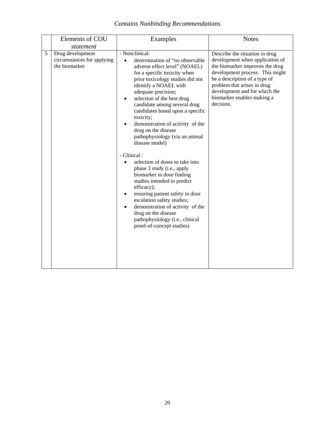|   | Elements of COU<br>statement                                    | Examples                                                                                                                                                                                                                                                                                                                                                                                                                                                                                                                                                                                                                                                                                                                                                                                                | <b>Notes</b>                                                                                                                                                                                                                                                                        |
|---|-----------------------------------------------------------------|---------------------------------------------------------------------------------------------------------------------------------------------------------------------------------------------------------------------------------------------------------------------------------------------------------------------------------------------------------------------------------------------------------------------------------------------------------------------------------------------------------------------------------------------------------------------------------------------------------------------------------------------------------------------------------------------------------------------------------------------------------------------------------------------------------|-------------------------------------------------------------------------------------------------------------------------------------------------------------------------------------------------------------------------------------------------------------------------------------|
| 5 | Drug development<br>circumstances for applying<br>the biomarker | - Nonclinical:<br>determination of "no observable<br>adverse effect level" (NOAEL)<br>for a specific toxicity when<br>prior toxicology studies did not<br>identify a NOAEL with<br>adequate precision;<br>selection of the best drug<br>candidate among several drug<br>candidates based upon a specific<br>toxicity;<br>demonstration of activity of the<br>drug on the disease<br>pathophysiology (via an animal<br>disease model)<br>- Clinical:<br>selection of doses to take into<br>phase 3 study (i.e., apply<br>biomarker in dose finding<br>studies intended to predict<br>efficacy);<br>ensuring patient safety in dose<br>escalation safety studies;<br>demonstration of activity of the<br>$\bullet$<br>drug on the disease<br>pathophysiology (i.e., clinical<br>proof-of-concept studies) | Describe the situation in drug<br>development when application of<br>the biomarker improves the drug<br>development process. This might<br>be a description of a type of<br>problem that arises in drug<br>development and for which the<br>biomarker enables making a<br>decision. |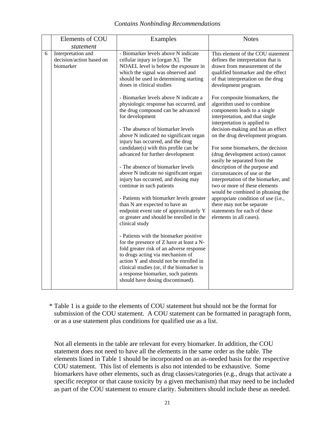|   | Elements of COU                                             | Examples                                                                                                                                                                                                                                                                                                                              | <b>Notes</b>                                                                                                                                                                                                                                                                                               |
|---|-------------------------------------------------------------|---------------------------------------------------------------------------------------------------------------------------------------------------------------------------------------------------------------------------------------------------------------------------------------------------------------------------------------|------------------------------------------------------------------------------------------------------------------------------------------------------------------------------------------------------------------------------------------------------------------------------------------------------------|
|   | statement                                                   |                                                                                                                                                                                                                                                                                                                                       |                                                                                                                                                                                                                                                                                                            |
| 6 | Interpretation and<br>decision/action based on<br>biomarker | - Biomarker levels above N indicate<br>cellular injury in [organ X]. The<br>NOAEL level is below the exposure in<br>which the signal was observed and<br>should be used in determining starting<br>doses in clinical studies<br>- Biomarker levels above N indicate a                                                                 | This element of the COU statement<br>defines the interpretation that is<br>drawn from measurement of the<br>qualified biomarker and the effect<br>of that interpretation on the drug<br>development program.<br>For composite biomarkers, the                                                              |
|   |                                                             | physiologic response has occurred, and<br>the drug compound can be advanced<br>for development<br>- The absence of biomarker levels                                                                                                                                                                                                   | algorithm used to combine<br>components leads to a single<br>interpretation, and that single<br>interpretation is applied to<br>decision-making and has an effect                                                                                                                                          |
|   |                                                             | above N indicated no significant organ<br>injury has occurred, and the drug                                                                                                                                                                                                                                                           | on the drug development program.                                                                                                                                                                                                                                                                           |
|   |                                                             | candidate(s) with this profile can be<br>advanced for further development                                                                                                                                                                                                                                                             | For some biomarkers, the decision<br>(drug development action) cannot<br>easily be separated from the                                                                                                                                                                                                      |
|   |                                                             | - The absence of biomarker levels<br>above N indicate no significant organ<br>injury has occurred, and dosing may<br>continue in such patients                                                                                                                                                                                        | description of the purpose and<br>circumstances of use or the<br>interpretation of the biomarker, and<br>two or more of these elements<br>would be combined in phrasing the<br>appropriate condition of use (i.e.,<br>there may not be separate<br>statements for each of these<br>elements in all cases). |
|   |                                                             | - Patients with biomarker levels greater<br>than N are expected to have an<br>endpoint event rate of approximately Y<br>or greater and should be enrolled in the<br>clinical study                                                                                                                                                    |                                                                                                                                                                                                                                                                                                            |
|   |                                                             | - Patients with the biomarker positive<br>for the presence of Z have at least a N-<br>fold greater risk of an adverse response<br>to drugs acting via mechanism of<br>action Y and should not be enrolled in<br>clinical studies (or, if the biomarker is<br>a response biomarker, such patients<br>should have dosing discontinued). |                                                                                                                                                                                                                                                                                                            |

\* Table 1 is a guide to the elements of COU statement but should not be the format for submission of the COU statement. A COU statement can be formatted in paragraph form, or as a use statement plus conditions for qualified use as a list.

Not all elements in the table are relevant for every biomarker. In addition, the COU statement does not need to have all the elements in the same order as the table. The elements listed in Table 1 should be incorporated on an as-needed basis for the respective COU statement. This list of elements is also not intended to be exhaustive. Some biomarkers have other elements, such as drug classes/categories (e.g., drugs that activate a specific receptor or that cause toxicity by a given mechanism) that may need to be included as part of the COU statement to ensure clarity. Submitters should include these as needed.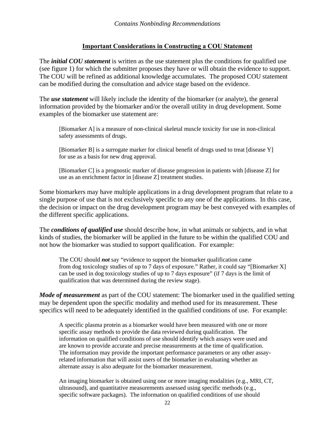#### **Important Considerations in Constructing a COU Statement**

The *initial COU statement* is written as the use statement plus the conditions for qualified use (see figure 1) for which the submitter proposes they have or will obtain the evidence to support. The COU will be refined as additional knowledge accumulates. The proposed COU statement can be modified during the consultation and advice stage based on the evidence.

The *use statement* will likely include the identity of the biomarker (or analyte), the general information provided by the biomarker and/or the overall utility in drug development. Some examples of the biomarker use statement are:

[Biomarker A] is a measure of non-clinical skeletal muscle toxicity for use in non-clinical safety assessments of drugs.

[Biomarker B] is a surrogate marker for clinical benefit of drugs used to treat [disease Y] for use as a basis for new drug approval.

[Biomarker C] is a prognostic marker of disease progression in patients with [disease Z] for use as an enrichment factor in [disease Z] treatment studies.

Some biomarkers may have multiple applications in a drug development program that relate to a single purpose of use that is not exclusively specific to any one of the applications. In this case, the decision or impact on the drug development program may be best conveyed with examples of the different specific applications.

The *conditions of qualified use* should describe how, in what animals or subjects, and in what kinds of studies, the biomarker will be applied in the future to be within the qualified COU and not how the biomarker was studied to support qualification. For example:

 The COU should *not* say "evidence to support the biomarker qualification came from dog toxicology studies of up to 7 days of exposure." Rather, it could say "[Biomarker X] can be used in dog toxicology studies of up to 7 days exposure" (if 7 days is the limit of qualification that was determined during the review stage).

*Mode of measurement* as part of the COU statement: The biomarker used in the qualified setting may be dependent upon the specific modality and method used for its measurement. These specifics will need to be adequately identified in the qualified conditions of use. For example:

A specific plasma protein as a biomarker would have been measured with one or more specific assay methods to provide the data reviewed during qualification. The information on qualified conditions of use should identify which assays were used and are known to provide accurate and precise measurements at the time of qualification. The information may provide the important performance parameters or any other assayrelated information that will assist users of the biomarker in evaluating whether an alternate assay is also adequate for the biomarker measurement.

An imaging biomarker is obtained using one or more imaging modalities (e.g., MRI, CT, ultrasound), and quantitative measurements assessed using specific methods (e.g., specific software packages). The information on qualified conditions of use should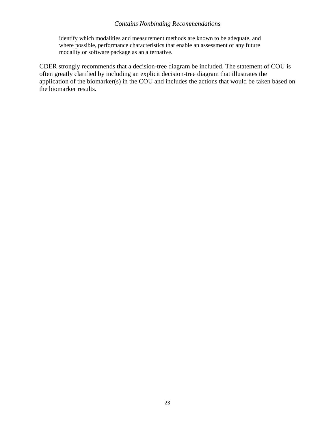identify which modalities and measurement methods are known to be adequate, and where possible, performance characteristics that enable an assessment of any future modality or software package as an alternative.

CDER strongly recommends that a decision-tree diagram be included. The statement of COU is often greatly clarified by including an explicit decision-tree diagram that illustrates the application of the biomarker(s) in the COU and includes the actions that would be taken based on the biomarker results.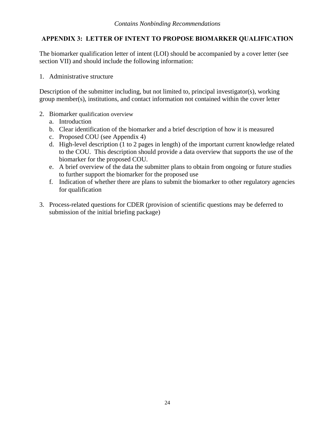#### <span id="page-26-0"></span>**APPENDIX 3: LETTER OF INTENT TO PROPOSE BIOMARKER QUALIFICATION**

The biomarker qualification letter of intent (LOI) should be accompanied by a cover letter (see section VII) and should include the following information:

1. Administrative structure

Description of the submitter including, but not limited to, principal investigator(s), working group member(s), institutions, and contact information not contained within the cover letter

- 2. Biomarker qualification overview
	- a. Introduction
	- b. Clear identification of the biomarker and a brief description of how it is measured
	- c. Proposed COU (see Appendix 4)
	- d. High-level description (1 to 2 pages in length) of the important current knowledge related to the COU. This description should provide a data overview that supports the use of the biomarker for the proposed COU.
	- e. A brief overview of the data the submitter plans to obtain from ongoing or future studies to further support the biomarker for the proposed use
	- f. Indication of whether there are plans to submit the biomarker to other regulatory agencies for qualification
- 3. Process-related questions for CDER (provision of scientific questions may be deferred to submission of the initial briefing package)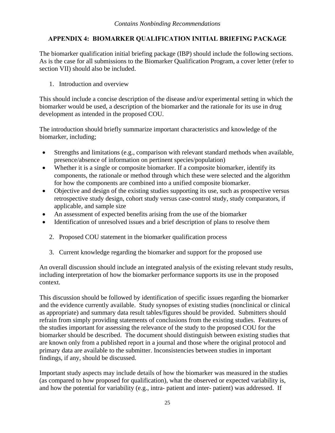# <span id="page-27-0"></span>**APPENDIX 4: BIOMARKER QUALIFICATION INITIAL BRIEFING PACKAGE**

The biomarker qualification initial briefing package (IBP) should include the following sections. As is the case for all submissions to the Biomarker Qualification Program, a cover letter (refer to section VII) should also be included.

#### 1. Introduction and overview

This should include a concise description of the disease and/or experimental setting in which the biomarker would be used, a description of the biomarker and the rationale for its use in drug development as intended in the proposed COU.

The introduction should briefly summarize important characteristics and knowledge of the biomarker, including;

- Strengths and limitations (e.g., comparison with relevant standard methods when available, presence/absence of information on pertinent species/population)
- Whether it is a single or composite biomarker. If a composite biomarker, identify its components, the rationale or method through which these were selected and the algorithm for how the components are combined into a unified composite biomarker.
- Objective and design of the existing studies supporting its use, such as prospective versus retrospective study design, cohort study versus case-control study, study comparators, if applicable, and sample size
- An assessment of expected benefits arising from the use of the biomarker
- Identification of unresolved issues and a brief description of plans to resolve them<br>2. Proposed COU statement in the biomarker qualification process
	-
	- 3. Current knowledge regarding the biomarker and support for the proposed use

An overall discussion should include an integrated analysis of the existing relevant study results, including interpretation of how the biomarker performance supports its use in the proposed context.

This discussion should be followed by identification of specific issues regarding the biomarker and the evidence currently available. Study synopses of existing studies (nonclinical or clinical as appropriate) and summary data result tables/figures should be provided. Submitters should refrain from simply providing statements of conclusions from the existing studies. Features of the studies important for assessing the relevance of the study to the proposed COU for the biomarker should be described. The document should distinguish between existing studies that are known only from a published report in a journal and those where the original protocol and primary data are available to the submitter. Inconsistencies between studies in important findings, if any, should be discussed.

Important study aspects may include details of how the biomarker was measured in the studies (as compared to how proposed for qualification), what the observed or expected variability is, and how the potential for variability (e.g., intra- patient and inter- patient) was addressed. If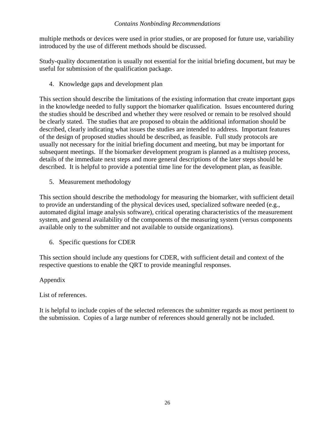multiple methods or devices were used in prior studies, or are proposed for future use, variability introduced by the use of different methods should be discussed.

Study-quality documentation is usually not essential for the initial briefing document, but may be useful for submission of the qualification package.

4. Knowledge gaps and development plan

This section should describe the limitations of the existing information that create important gaps in the knowledge needed to fully support the biomarker qualification. Issues encountered during the studies should be described and whether they were resolved or remain to be resolved should be clearly stated. The studies that are proposed to obtain the additional information should be described, clearly indicating what issues the studies are intended to address. Important features of the design of proposed studies should be described, as feasible. Full study protocols are usually not necessary for the initial briefing document and meeting, but may be important for subsequent meetings. If the biomarker development program is planned as a multistep process, details of the immediate next steps and more general descriptions of the later steps should be described. It is helpful to provide a potential time line for the development plan, as feasible.

5. Measurement methodology

 available only to the submitter and not available to outside organizations). 6. Specific questions for CDER This section should describe the methodology for measuring the biomarker, with sufficient detail to provide an understanding of the physical devices used, specialized software needed (e.g., automated digital image analysis software), critical operating characteristics of the measurement system, and general availability of the components of the measuring system (versus components

This section should include any questions for CDER, with sufficient detail and context of the respective questions to enable the QRT to provide meaningful responses.

#### Appendix

List of references.

It is helpful to include copies of the selected references the submitter regards as most pertinent to the submission. Copies of a large number of references should generally not be included.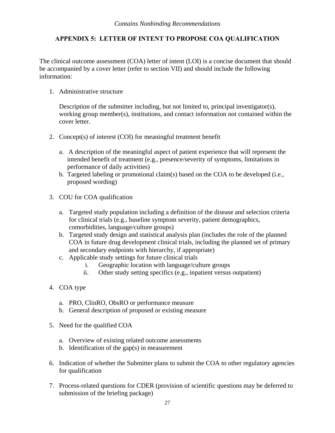#### <span id="page-29-0"></span>**APPENDIX 5: LETTER OF INTENT TO PROPOSE COA QUALIFICATION**

The clinical outcome assessment (COA) letter of intent (LOI) is a concise document that should be accompanied by a cover letter (refer to section VII) and should include the following information:

1. Administrative structure

Description of the submitter including, but not limited to, principal investigator(s), working group member(s), institutions, and contact information not contained within the cover letter.

- 2. Concept(s) of interest (COI) for meaningful treatment benefit
	- a. A description of the meaningful aspect of patient experience that will represent the intended benefit of treatment (e.g., presence/severity of symptoms, limitations in performance of daily activities)
	- b. Targeted labeling or promotional claim(s) based on the COA to be developed (i.e., proposed wording)
- 3. COU for COA qualification
	- a. Targeted study population including a definition of the disease and selection criteria for clinical trials (e.g., baseline symptom severity, patient demographics, comorbidities, language/culture groups)
	- b. Targeted study design and statistical analysis plan (includes the role of the planned COA in future drug development clinical trials, including the planned set of primary and secondary endpoints with hierarchy, if appropriate)
	- c. Applicable study settings for future clinical trials
		- i. Geographic location with language/culture groups
		- ii. Other study setting specifics (e.g., inpatient versus outpatient)
- 4. COA type
	- a. PRO, ClinRO, ObsRO or performance measure
	- b. General description of proposed or existing measure
- 5. Need for the qualified COA
	- a. Overview of existing related outcome assessments
	- b. Identification of the gap $(s)$  in measurement
- 6. Indication of whether the Submitter plans to submit the COA to other regulatory agencies for qualification
- 7. Process-related questions for CDER (provision of scientific questions may be deferred to submission of the briefing package)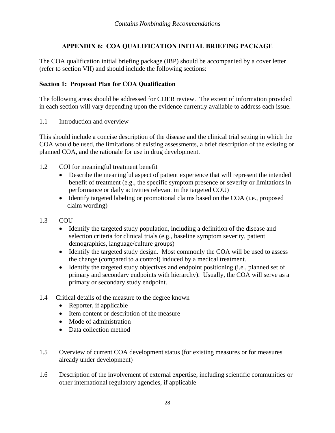# **APPENDIX 6: COA QUALIFICATION INITIAL BRIEFING PACKAGE**

<span id="page-30-0"></span>The COA qualification initial briefing package (IBP) should be accompanied by a cover letter (refer to section VII) and should include the following sections:

#### **Section 1: Proposed Plan for COA Qualification**

The following areas should be addressed for CDER review. The extent of information provided in each section will vary depending upon the evidence currently available to address each issue.

1.1 Introduction and overview

This should include a concise description of the disease and the clinical trial setting in which the COA would be used, the limitations of existing assessments, a brief description of the existing or planned COA, and the rationale for use in drug development.

- 1.2 COI for meaningful treatment benefit
	- Describe the meaningful aspect of patient experience that will represent the intended benefit of treatment (e.g., the specific symptom presence or severity or limitations in performance or daily activities relevant in the targeted COU)
	- Identify targeted labeling or promotional claims based on the COA (i.e., proposed claim wording)
- 1.3 COU
	- Identify the targeted study population, including a definition of the disease and selection criteria for clinical trials (e.g., baseline symptom severity, patient demographics, language/culture groups)
	- Identify the targeted study design. Most commonly the COA will be used to assess the change (compared to a control) induced by a medical treatment.
	- Identify the targeted study objectives and endpoint positioning (i.e., planned set of primary and secondary endpoints with hierarchy). Usually, the COA will serve as a primary or secondary study endpoint.
- 1.4 Critical details of the measure to the degree known
	- Reporter, if applicable
	- Item content or description of the measure
	- Mode of administration
	- Data collection method
- 1.5 Overview of current COA development status (for existing measures or for measures already under development)
- 1.6 Description of the involvement of external expertise, including scientific communities or other international regulatory agencies, if applicable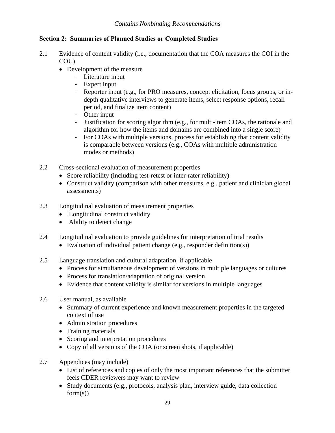#### **Section 2: Summaries of Planned Studies or Completed Studies**

- 2.1 Evidence of content validity (i.e., documentation that the COA measures the COI in the COU)
	- Development of the measure
		- Literature input
		- Expert input
		- Reporter input (e.g., for PRO measures, concept elicitation, focus groups, or indepth qualitative interviews to generate items, select response options, recall period, and finalize item content)
		- Other input
		- algorithm for how the items and domains are combined into a single score) - Justification for scoring algorithm (e.g., for multi-item COAs, the rationale and
		- For COAs with multiple versions, process for establishing that content validity is comparable between versions (e.g., COAs with multiple administration modes or methods)
- 2.2 Cross-sectional evaluation of measurement properties
	- Score reliability (including test-retest or inter-rater reliability)
	- Construct validity (comparison with other measures, e.g., patient and clinician global assessments)
- 2.3 Longitudinal evaluation of measurement properties
	- Longitudinal construct validity
	- Ability to detect change
- 2.4 Longitudinal evaluation to provide guidelines for interpretation of trial results
	- Evaluation of individual patient change (e.g., responder definition(s))
- 2.5 Language translation and cultural adaptation, if applicable
	- Process for simultaneous development of versions in multiple languages or cultures
	- Process for translation/adaptation of original version
	- Evidence that content validity is similar for versions in multiple languages
- 2.6 User manual, as available
	- Summary of current experience and known measurement properties in the targeted context of use
	- Administration procedures
	- Training materials
	- Scoring and interpretation procedures
	- Copy of all versions of the COA (or screen shots, if applicable)
- 2.7 Appendices (may include)
	- List of references and copies of only the most important references that the submitter feels CDER reviewers may want to review
	- Study documents (e.g., protocols, analysis plan, interview guide, data collection  $form(s)$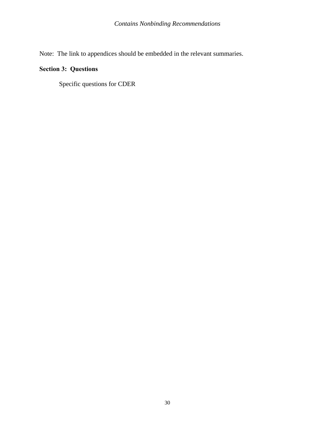Note: The link to appendices should be embedded in the relevant summaries.

# **Section 3: Questions**

Specific questions for CDER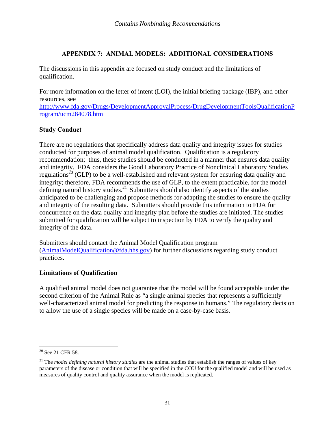#### **APPENDIX 7: ANIMAL MODELS: ADDITIONAL CONSIDERATIONS**

<span id="page-33-0"></span>The discussions in this appendix are focused on study conduct and the limitations of qualification.

For more information on the letter of intent (LOI), the initial briefing package (IBP), and other resources, see

http://www.fda.gov/Drugs/DevelopmentApprovalProcess/DrugDevelopmentToolsQualificationP rogram/ucm284078.htm

#### **Study Conduct**

There are no regulations that specifically address data quality and integrity issues for studies conducted for purposes of animal model qualification. Qualification is a regulatory recommendation; thus, these studies should be conducted in a manner that ensures data quality and integrity. FDA considers the Good Laboratory Practice of Nonclinical Laboratory Studies regulations<sup>20</sup> (GLP) to be a well-established and relevant system for ensuring data quality and integrity; therefore, FDA recommends the use of GLP, to the extent practicable, for the model defining natural history studies.<sup>21</sup> Submitters should also identify aspects of the studies anticipated to be challenging and propose methods for adapting the studies to ensure the quality and integrity of the resulting data. Submitters should provide this information to FDA for concurrence on the data quality and integrity plan before the studies are initiated. The studies submitted for qualification will be subject to inspection by FDA to verify the quality and integrity of the data.

Submitters should contact the Animal Model Qualification program (AnimalModelQualification@fda.hhs.gov) for further discussions regarding study conduct practices.

#### **Limitations of Qualification**

A qualified animal model does not guarantee that the model will be found acceptable under the second criterion of the Animal Rule as "a single animal species that represents a sufficiently well-characterized animal model for predicting the response in humans." The regulatory decision to allow the use of a single species will be made on a case-by-case basis.

 $\overline{a}$ 

 $20$  See 21 CFR 58.

 21 The *model defining natural history studies* are the animal studies that establish the ranges of values of key parameters of the disease or condition that will be specified in the COU for the qualified model and will be used as measures of quality control and quality assurance when the model is replicated.